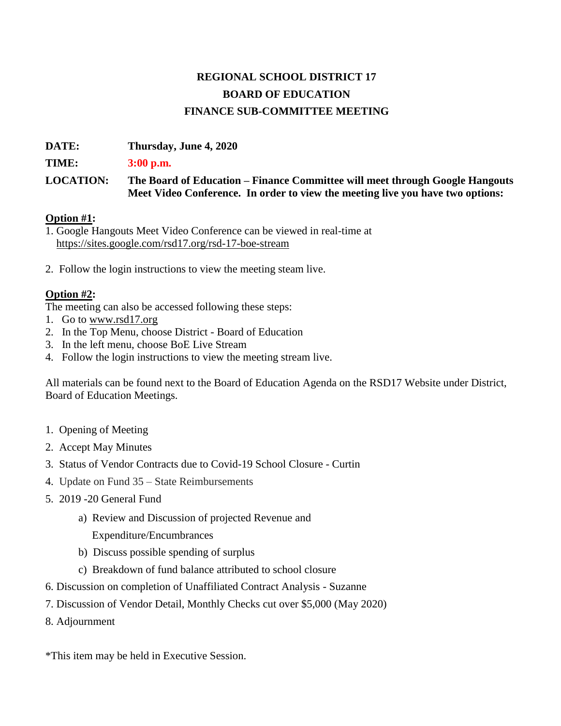## **REGIONAL SCHOOL DISTRICT 17 BOARD OF EDUCATION FINANCE SUB-COMMITTEE MEETING**

**DATE: Thursday, June 4, 2020** 

**TIME: 3:00 p.m.**

**LOCATION: The Board of Education – Finance Committee will meet through Google Hangouts Meet Video Conference. In order to view the meeting live you have two options:** 

## **Option #1:**

1. Google Hangouts Meet Video Conference can be viewed in real-time at <https://sites.google.com/rsd17.org/rsd-17-boe-stream>

2. Follow the login instructions to view the meeting steam live.

## **Option #2:**

The meeting can also be accessed following these steps:

- 1. Go t[o](http://www.rsd17.org/) [www.rsd17.org](http://www.rsd17.org/)
- 2. In the Top Menu, choose District Board of Education
- 3. In the left menu, choose BoE Live Stream
- 4. Follow the login instructions to view the meeting stream live.

All materials can be found next to the Board of Education Agenda on the RSD17 Website under District, Board of Education Meetings.

- 1. Opening of Meeting
- 2. Accept May Minutes
- 3. Status of Vendor Contracts due to Covid-19 School Closure Curtin
- 4. Update on Fund 35 State Reimbursements
- 5. 2019 -20 General Fund
	- a) Review and Discussion of projected Revenue and

Expenditure/Encumbrances

- b) Discuss possible spending of surplus
- c) Breakdown of fund balance attributed to school closure
- 6. Discussion on completion of Unaffiliated Contract Analysis Suzanne
- 7. Discussion of Vendor Detail, Monthly Checks cut over \$5,000 (May 2020)
- 8. Adjournment

\*This item may be held in Executive Session.